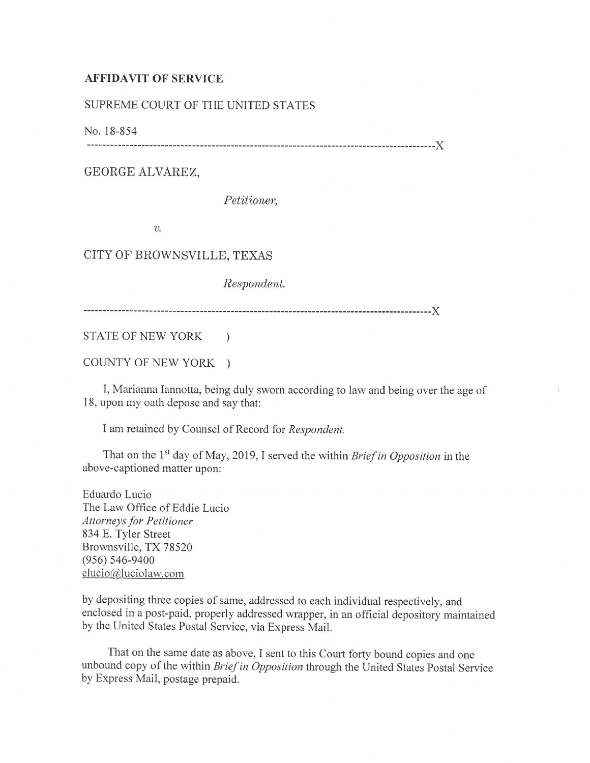## **AFFIDAVIT OF SERVICE**

## SUPREME COURT OF THE UNITED STATES

No. 18-854

------------------------------------------------------------------------------------------)(

## GEORGE ALVAREZ,

*Petitioner,* 

*v.* 

## CITY OF BROWNSVILLE, TEXAS

*Respondent.* 

------------------------------------------------------------------------------------------)(

STATE OF NEW YORK )

COUNTY OF NEW YORK )

I, Marianna Iannotta, being duly sworn according to law and being over the age of 18, upon my oath depose and say that:

I am retained by Counsel of Record for *Respondent.* 

That on the 1<sup>st</sup> day of May, 2019, I served the within *Brief in Opposition* in the above-captioned matter upon:

Eduardo Lucio The Law Office of Eddie Lucio *Attorneys for Petitioner*  834 E. Tyler Street Brownsville, TX 78520 (956) 546-9400 elucio@luciolaw.com

by depositing three copies of same, addressed to each individual respectively, and enclosed in a post-paid, properly addressed wrapper, in an official depository maintained by the United States Postal Service, via Express Mail.

That on the same date as above, I sent to this Court forty bound copies and one unbound copy of the within *Brief in Opposition* through the United States Postal Service by Express Mail, postage prepaid.